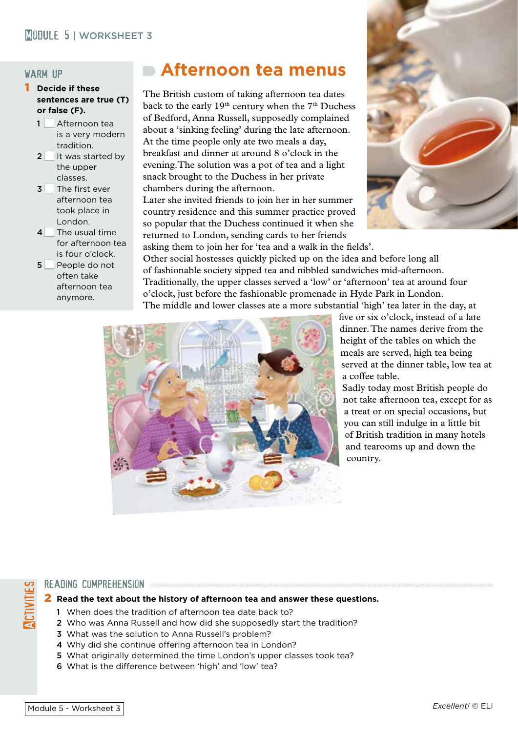### **MODULE 5 | WORKSHEET 3**

#### warm up

- 1 **Decide if these sentences are true (T) or false (F).**
	- $1$  Afternoon tea is a very modern tradition.
	- $2$  It was started by the upper classes.
	- $3$  The first ever afternoon tea took place in London.
	- $4$  The usual time for afternoon tea is four o'clock.
	- 5 People do not often take afternoon tea anymore.

# **Afternoon tea menus**

The British custom of taking afternoon tea dates back to the early 19<sup>th</sup> century when the 7<sup>th</sup> Duchess of Bedford, Anna Russell, supposedly complained about a 'sinking feeling' during the late afternoon. At the time people only ate two meals a day, breakfast and dinner at around 8 o'clock in the evening.The solution was a pot of tea and a light snack brought to the Duchess in her private chambers during the afternoon.

Later she invited friends to join her in her summer country residence and this summer practice proved so popular that the Duchess continued it when she returned to London, sending cards to her friends



asking them to join her for 'tea and a walk in the fields'. Other social hostesses quickly picked up on the idea and before long all of fashionable society sipped tea and nibbled sandwiches mid-afternoon. Traditionally, the upper classes served a 'low' or 'afternoon' tea at around four o'clock, just before the fashionable promenade in Hyde Park in London. The middle and lower classes ate a more substantial 'high' tea later in the day, at



five or six o'clock, instead of a late dinner. The names derive from the height of the tables on which the meals are served, high tea being served at the dinner table, low tea at a coffee table.

Sadly today most British people do not take afternoon tea, except for as a treat or on special occasions, but you can still indulge in a little bit of British tradition in many hotels and tearooms up and down the country.

#### READING COMPREHENSION and announcement and announcement and

#### 2 **Read the text about the history of afternoon tea and answer these questions.**

- 1 When does the tradition of afternoon tea date back to?
- 2 Who was Anna Russell and how did she supposedly start the tradition?
- 3 What was the solution to Anna Russell's problem?
- 4 Why did she continue offering afternoon tea in London?
- 5 What originally determined the time London's upper classes took tea?
- 6 What is the difference between 'high' and 'low' tea?